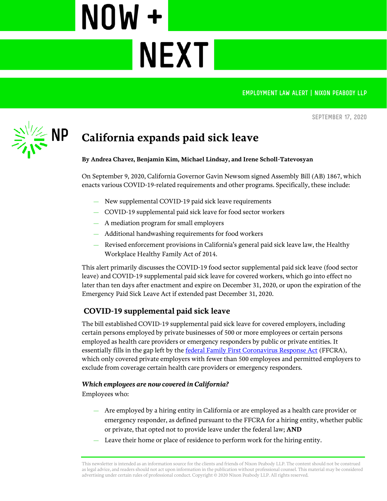EMPLOYMENT LAW ALERT | NIXON PEABODY LLP

**September 17, 2020**



# **California expands paid sick leave**

**NEXTI** 

NOW +

#### **By Andrea Chavez, Benjamin Kim, Michael Lindsay, and Irene Scholl-Tatevosyan**

On September 9, 2020, California Governor Gavin Newsom signed Assembly Bill (AB) 1867, which enacts various COVID-19-related requirements and other programs. Specifically, these include:

- New supplemental COVID-19 paid sick leave requirements
- COVID-19 supplemental paid sick leave for food sector workers
- A mediation program for small employers
- Additional handwashing requirements for food workers
- Revised enforcement provisions in California's general paid sick leave law, the Healthy Workplace Healthy Family Act of 2014.

This alert primarily discusses the COVID-19 food sector supplemental paid sick leave (food sector leave) and COVID-19 supplemental paid sick leave for covered workers, which go into effect no later than ten days after enactment and expire on December 31, 2020, or upon the expiration of the Emergency Paid Sick Leave Act if extended past December 31, 2020.

## **COVID-19 supplemental paid sick leave**

The bill established COVID-19 supplemental paid sick leave for covered employers, including certain persons employed by private businesses of 500 or more employees or certain persons employed as health care providers or emergency responders by public or private entities. It essentially fills in the gap left by th[e federal Family First Coronavirus Response Act](https://www.nixonpeabody.com/ideas/articles/2020/03/17/what-employers-need-to-know-about-the-impending-covid-19-paid-leave-bill) (FFCRA), which only covered private employers with fewer than 500 employees and permitted employers to exclude from coverage certain health care providers or emergency responders.

#### *Which employees are now covered in California?*

Employees who:

- Are employed by a hiring entity in California or are employed as a health care provider or emergency responder, as defined pursuant to the FFCRA for a hiring entity, whether public or private, that opted not to provide leave under the federal law; **AND**
- Leave their home or place of residence to perform work for the hiring entity.

This newsletter is intended as an information source for the clients and friends of Nixon Peabody LLP. The content should not be construed as legal advice, and readers should not act upon information in the publication without professional counsel. This material may be considered advertising under certain rules of professional conduct. Copyright © 2020 Nixon Peabody LLP. All rights reserved.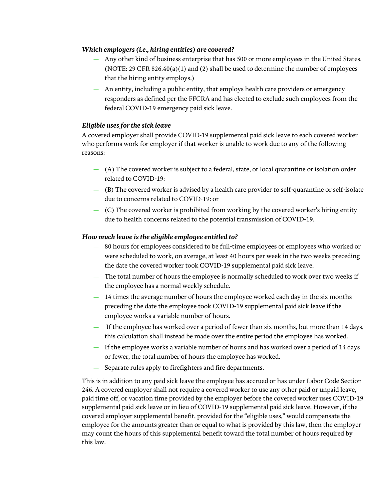## *Which employers (i.e., hiring entities) are covered?*

- Any other kind of business enterprise that has 500 or more employees in the United States. (NOTE: 29 CFR 826.40(a)(1) and (2) shall be used to determine the number of employees that the hiring entity employs.)
- An entity, including a public entity, that employs health care providers or emergency responders as defined per the FFCRA and has elected to exclude such employees from the federal COVID-19 emergency paid sick leave.

## *Eligible uses for the sick leave*

A covered employer shall provide COVID-19 supplemental paid sick leave to each covered worker who performs work for employer if that worker is unable to work due to any of the following reasons:

- (A) The covered worker is subject to a federal, state, or local quarantine or isolation order related to COVID-19:
- (B) The covered worker is advised by a health care provider to self-quarantine or self-isolate due to concerns related to COVID-19: or
- (C) The covered worker is prohibited from working by the covered worker's hiring entity due to health concerns related to the potential transmission of COVID-19.

## *How much leave is the eligible employee entitled to?*

- 80 hours for employees considered to be full-time employees or employees who worked or were scheduled to work, on average, at least 40 hours per week in the two weeks preceding the date the covered worker took COVID-19 supplemental paid sick leave.
- The total number of hours the employee is normally scheduled to work over two weeks if the employee has a normal weekly schedule.
- 14 times the average number of hours the employee worked each day in the six months preceding the date the employee took COVID-19 supplemental paid sick leave if the employee works a variable number of hours.
- If the employee has worked over a period of fewer than six months, but more than 14 days, this calculation shall instead be made over the entire period the employee has worked.
- If the employee works a variable number of hours and has worked over a period of 14 days or fewer, the total number of hours the employee has worked.
- Separate rules apply to firefighters and fire departments.

This is in addition to any paid sick leave the employee has accrued or has under Labor Code Section 246. A covered employer shall not require a covered worker to use any other paid or unpaid leave, paid time off, or vacation time provided by the employer before the covered worker uses COVID-19 supplemental paid sick leave or in lieu of COVID-19 supplemental paid sick leave. However, if the covered employer supplemental benefit, provided for the "eligible uses," would compensate the employee for the amounts greater than or equal to what is provided by this law, then the employer may count the hours of this supplemental benefit toward the total number of hours required by this law.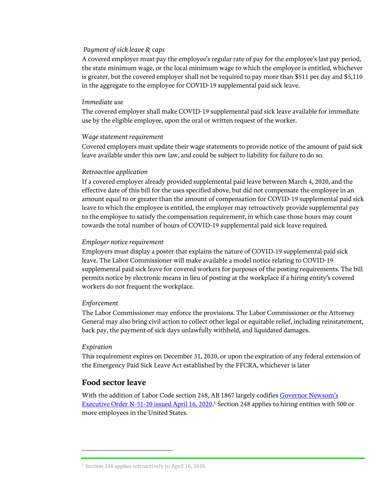#### *Payment of sick leave & caps*

A covered employer must pay the employee's regular rate of pay for the employee's last pay period, the state minimum wage, or the local minimum wage to which the employee is entitled, whichever is greater, but the covered employer shall not be required to pay more than \$511 per day and \$5,110 in the aggregate to the employee for COVID-19 supplemental paid sick leave.

#### *Immediate use*

The covered employer shall make COVID-19 supplemental paid sick leave available for immediate use by the eligible employee, upon the oral or written request of the worker.

#### *Wage statement requirement*

Covered employers must update their wage statements to provide notice of the amount of paid sick leave available under this new law, and could be subject to liability for failure to do so.

#### *Retroactive application*

If a covered employer already provided supplemental paid leave between March 4, 2020, and the effective date of this bill for the uses specified above, but did not compensate the employee in an amount equal to or greater than the amount of compensation for COVID-19 supplemental paid sick leave to which the employee is entitled, the employer may retroactively provide supplemental pay to the employee to satisfy the compensation requirement, in which case those hours may count towards the total number of hours of COVID-19 supplemental paid sick leave required.

#### *Employer notice requirement*

Employers must display a poster that explains the nature of COVID‑19 supplemental paid sick leave. The Labor Commissioner will make available a model notice relating to COVID-19 supplemental paid sick leave for covered workers for purposes of the posting requirements. The bill permits notice by electronic means in lieu of posting at the workplace if a hiring entity's covered workers do not frequent the workplace.

#### *Enforcement*

The Labor Commissioner may enforce the provisions. The Labor Commissioner or the Attorney General may also bring civil action to collect other legal or equitable relief, including reinstatement, back pay, the payment of sick days unlawfully withheld, and liquidated damages.

#### *Expiration*

 $\overline{a}$ 

This requirement expires on December 31, 2020, or upon the expiration of any federal extension of the Emergency Paid Sick Leave Act established by the FFCRA, whichever is later

## **Food sector leave**

With the addition of Labor Code section 248, AB 1867 largely codifies Governor Newsom's [Executive Order N-51-20 issued April 16, 2020.](https://www.nixonpeabody.com/en/ideas/articles/2020/04/17/california-passes-coronavirus-covid19-supplemental-paid-sick-leave-for-food-sector-workers)<sup>1</sup> Section 248 applies to hiring entities with 500 or more employees in the United States.

<sup>&</sup>lt;sup>1</sup> Section 248 applies retroactively to April 16, 2020.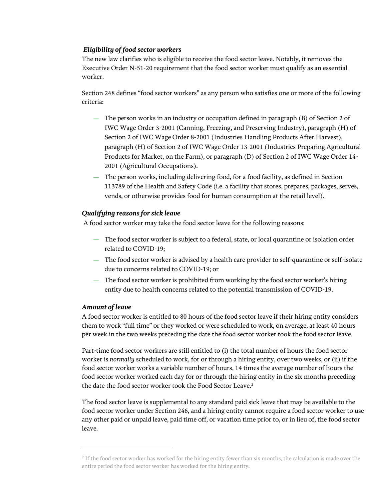## *Eligibility of food sector workers*

The new law clarifies who is eligible to receive the food sector leave. Notably, it removes the Executive Order N-51-20 requirement that the food sector worker must qualify as an essential worker.

Section 248 defines "food sector workers" as any person who satisfies one or more of the following criteria:

- The person works in an industry or occupation defined in paragraph (B) of Section 2 of IWC Wage Order 3-2001 (Canning, Freezing, and Preserving Industry), paragraph (H) of Section 2 of IWC Wage Order 8-2001 (Industries Handling Products After Harvest), paragraph (H) of Section 2 of IWC Wage Order 13-2001 (Industries Preparing Agricultural Products for Market, on the Farm), or paragraph (D) of Section 2 of IWC Wage Order 14- 2001 (Agricultural Occupations).
- The person works, including delivering food, for a food facility, as defined in Section 113789 of the Health and Safety Code (i.e. a facility that stores, prepares, packages, serves, vends, or otherwise provides food for human consumption at the retail level).

## *Qualifying reasons for sick leave*

A food sector worker may take the food sector leave for the following reasons:

- The food sector worker is subject to a federal, state, or local quarantine or isolation order related to COVID-19;
- The food sector worker is advised by a health care provider to self-quarantine or self-isolate due to concerns related to COVID-19; or
- The food sector worker is prohibited from working by the food sector worker's hiring entity due to health concerns related to the potential transmission of COVID-19.

## *Amount of leave*

l

A food sector worker is entitled to 80 hours of the food sector leave if their hiring entity considers them to work "full time" or they worked or were scheduled to work, on average, at least 40 hours per week in the two weeks preceding the date the food sector worker took the food sector leave.

Part-time food sector workers are still entitled to (i) the total number of hours the food sector worker is *normally* scheduled to work, for or through a hiring entity, over two weeks, or (ii) if the food sector worker works a variable number of hours, 14 times the average number of hours the food sector worker worked each day for or through the hiring entity in the six months preceding the date the food sector worker took the Food Sector Leave. 2

The food sector leave is supplemental to any standard paid sick leave that may be available to the food sector worker under Section 246, and a hiring entity cannot require a food sector worker to use any other paid or unpaid leave, paid time off, or vacation time prior to, or in lieu of, the food sector leave.

<sup>&</sup>lt;sup>2</sup> If the food sector worker has worked for the hiring entity fewer than six months, the calculation is made over the entire period the food sector worker has worked for the hiring entity.